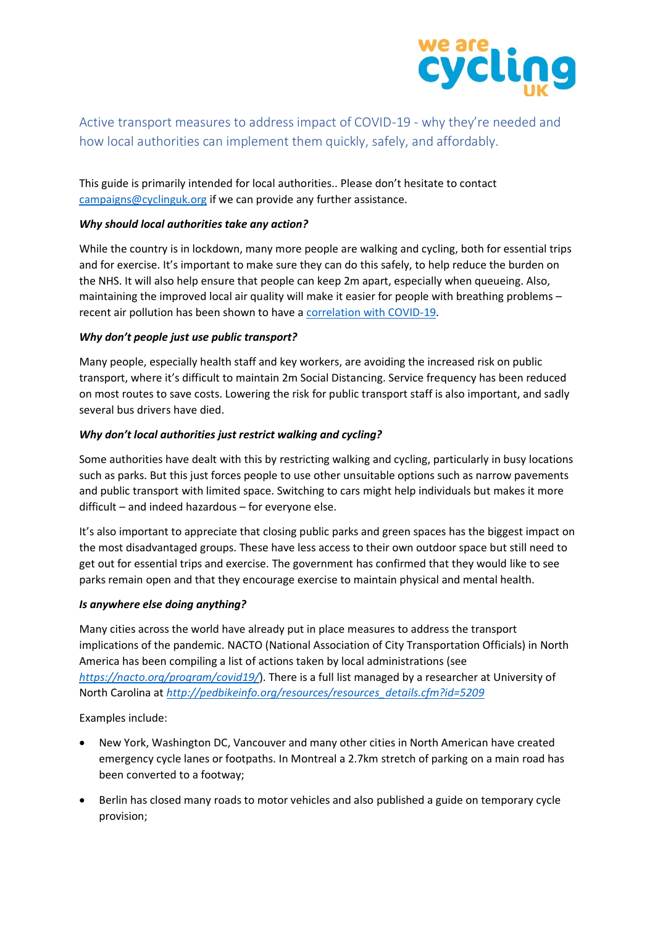

# Active transport measures to address impact of COVID-19 - why they're needed and how local authorities can implement them quickly, safely, and affordably.

This guide is primarily intended for local authorities.. Please don't hesitate to contact [campaigns@cyclinguk.org](mailto:campaigns@cyclinguk.org) if we can provide any further assistance.

# *Why should local authorities take any action?*

While the country is in lockdown, many more people are walking and cycling, both for essential trips and for exercise. It's important to make sure they can do this safely, to help reduce the burden on the NHS. It will also help ensure that people can keep 2m apart, especially when queueing. Also, maintaining the improved local air quality will make it easier for people with breathing problems – recent air pollution has been shown to have a [correlation with COVID-19.](https://www.theguardian.com/environment/2020/apr/21/preliminary-study-links-air-pollution-to-coronavirus-deaths-in-england)

### *Why don't people just use public transport?*

Many people, especially health staff and key workers, are avoiding the increased risk on public transport, where it's difficult to maintain 2m Social Distancing. Service frequency has been reduced on most routes to save costs. Lowering the risk for public transport staff is also important, and sadly several bus drivers have died.

### *Why don't local authorities just restrict walking and cycling?*

Some authorities have dealt with this by restricting walking and cycling, particularly in busy locations such as parks. But this just forces people to use other unsuitable options such as narrow pavements and public transport with limited space. Switching to cars might help individuals but makes it more difficult – and indeed hazardous – for everyone else.

It's also important to appreciate that closing public parks and green spaces has the biggest impact on the most disadvantaged groups. These have less access to their own outdoor space but still need to get out for essential trips and exercise. The government has confirmed that they would like to see parks remain open and that they encourage exercise to maintain physical and mental health.

#### *Is anywhere else doing anything?*

Many cities across the world have already put in place measures to address the transport implications of the pandemic. NACTO (National Association of City Transportation Officials) in North America has been compiling a list of actions taken by local administrations (see *<https://nacto.org/program/covid19/>*). There is a full list managed by a researcher at University of North Carolina at *[http://pedbikeinfo.org/resources/resources\\_details.cfm?id=5209](http://pedbikeinfo.org/resources/resources_details.cfm?id=5209)*

Examples include:

- New York, Washington DC, Vancouver and many other cities in North American have created emergency cycle lanes or footpaths. In Montreal a 2.7km stretch of parking on a main road has been converted to a footway;
- Berlin has closed many roads to motor vehicles and also published a guide on temporary cycle provision;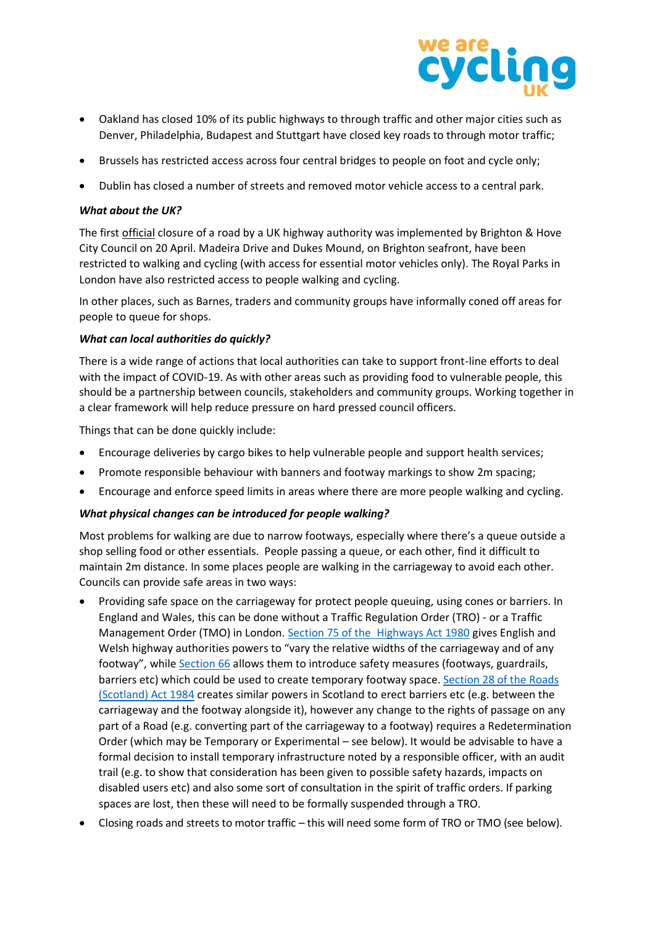

- Oakland has closed 10% of its public highways to through traffic and other major cities such as Denver, Philadelphia, Budapest and Stuttgart have closed key roads to through motor traffic;
- Brussels has restricted access across four central bridges to people on foot and cycle only;
- Dublin has closed a number of streets and removed motor vehicle access to a central park.

# *What about the UK?*

The first official closure of a road by a UK highway authority was implemented by Brighton & Hove City Council on 20 April. Madeira Drive and Dukes Mound, on Brighton seafront, have been restricted to walking and cycling (with access for essential motor vehicles only). The Royal Parks in London have also restricted access to people walking and cycling.

In other places, such as Barnes, traders and community groups have informally coned off areas for people to queue for shops.

### *What can local authorities do quickly?*

There is a wide range of actions that local authorities can take to support front-line efforts to deal with the impact of COVID-19. As with other areas such as providing food to vulnerable people, this should be a partnership between councils, stakeholders and community groups. Working together in a clear framework will help reduce pressure on hard pressed council officers.

Things that can be done quickly include:

- Encourage deliveries by cargo bikes to help vulnerable people and support health services;
- Promote responsible behaviour with banners and footway markings to show 2m spacing;
- Encourage and enforce speed limits in areas where there are more people walking and cycling.

#### *What physical changes can be introduced for people walking?*

Most problems for walking are due to narrow footways, especially where there's a queue outside a shop selling food or other essentials. People passing a queue, or each other, find it difficult to maintain 2m distance. In some places people are walking in the carriageway to avoid each other. Councils can provide safe areas in two ways:

- Providing safe space on the carriageway for protect people queuing, using cones or barriers. In England and Wales, this can be done without a Traffic Regulation Order (TRO) - or a Traffic Management Order (TMO) in London. [Section 75 of the Highways Act 1980](http://www.legislation.gov.uk/ukpga/1980/66/section/75) gives English and Welsh highway authorities powers to "vary the relative widths of the carriageway and of any footway", while [Section 66](http://www.legislation.gov.uk/ukpga/1980/66/section/66) allows them to introduce safety measures (footways, guardrails, barriers etc) which could be used to create temporary footway space. Section 28 of the Roads [\(Scotland\) Act 1984](http://www.legislation.gov.uk/ukpga/1984/54/section/28) creates similar powers in Scotland to erect barriers etc (e.g. between the carriageway and the footway alongside it), however any change to the rights of passage on any part of a Road (e.g. converting part of the carriageway to a footway) requires a Redetermination Order (which may be Temporary or Experimental – see below). It would be advisable to have a formal decision to install temporary infrastructure noted by a responsible officer, with an audit trail (e.g. to show that consideration has been given to possible safety hazards, impacts on disabled users etc) and also some sort of consultation in the spirit of traffic orders. If parking spaces are lost, then these will need to be formally suspended through a TRO.
- Closing roads and streets to motor traffic this will need some form of TRO or TMO (see below).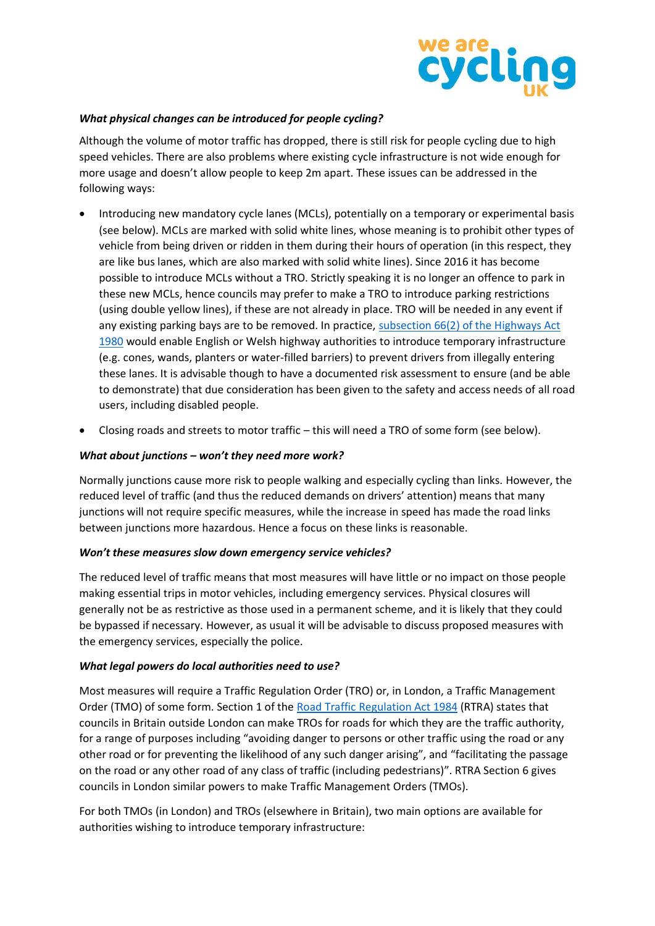

# *What physical changes can be introduced for people cycling?*

Although the volume of motor traffic has dropped, there is still risk for people cycling due to high speed vehicles. There are also problems where existing cycle infrastructure is not wide enough for more usage and doesn't allow people to keep 2m apart. These issues can be addressed in the following ways:

- Introducing new mandatory cycle lanes (MCLs), potentially on a temporary or experimental basis (see below). MCLs are marked with solid white lines, whose meaning is to prohibit other types of vehicle from being driven or ridden in them during their hours of operation (in this respect, they are like bus lanes, which are also marked with solid white lines). Since 2016 it has become possible to introduce MCLs without a TRO. Strictly speaking it is no longer an offence to park in these new MCLs, hence councils may prefer to make a TRO to introduce parking restrictions (using double yellow lines), if these are not already in place. TRO will be needed in any event if any existing parking bays are to be removed. In practice, subsection 66(2) of the Highways Act [1980](http://www.legislation.gov.uk/ukpga/1980/66/section/66) would enable English or Welsh highway authorities to introduce temporary infrastructure (e.g. cones, wands, planters or water-filled barriers) to prevent drivers from illegally entering these lanes. It is advisable though to have a documented risk assessment to ensure (and be able to demonstrate) that due consideration has been given to the safety and access needs of all road users, including disabled people.
- Closing roads and streets to motor traffic this will need a TRO of some form (see below).

### *What about junctions – won't they need more work?*

Normally junctions cause more risk to people walking and especially cycling than links. However, the reduced level of traffic (and thus the reduced demands on drivers' attention) means that many junctions will not require specific measures, while the increase in speed has made the road links between junctions more hazardous. Hence a focus on these links is reasonable.

#### *Won't these measures slow down emergency service vehicles?*

The reduced level of traffic means that most measures will have little or no impact on those people making essential trips in motor vehicles, including emergency services. Physical closures will generally not be as restrictive as those used in a permanent scheme, and it is likely that they could be bypassed if necessary. However, as usual it will be advisable to discuss proposed measures with the emergency services, especially the police.

#### *What legal powers do local authorities need to use?*

Most measures will require a Traffic Regulation Order (TRO) or, in London, a Traffic Management Order (TMO) of some form. Section 1 of the [Road Traffic Regulation Act 1984](http://www.legislation.gov.uk/ukpga/1984/27/contents) (RTRA) states that councils in Britain outside London can make TROs for roads for which they are the traffic authority, for a range of purposes including "avoiding danger to persons or other traffic using the road or any other road or for preventing the likelihood of any such danger arising", and "facilitating the passage on the road or any other road of any class of traffic (including pedestrians)". RTRA Section 6 gives councils in London similar powers to make Traffic Management Orders (TMOs).

For both TMOs (in London) and TROs (elsewhere in Britain), two main options are available for authorities wishing to introduce temporary infrastructure: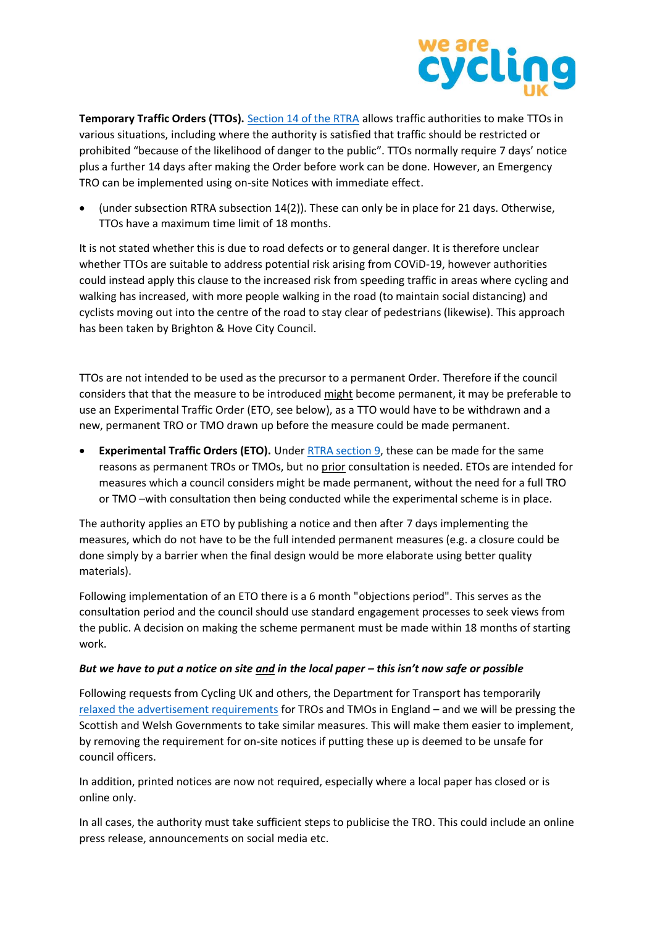

Temporary Traffic Orders (TTOs). [Section 14 of the RTRA](http://www.legislation.gov.uk/ukpga/1984/27/section/14) allows traffic authorities to make TTOs in various situations, including where the authority is satisfied that traffic should be restricted or prohibited "because of the likelihood of danger to the public". TTOs normally require 7 days' notice plus a further 14 days after making the Order before work can be done. However, an Emergency TRO can be implemented using on-site Notices with immediate effect.

• (under subsection RTRA subsection 14(2)). These can only be in place for 21 days. Otherwise, TTOs have a maximum time limit of 18 months.

It is not stated whether this is due to road defects or to general danger. It is therefore unclear whether TTOs are suitable to address potential risk arising from COVID-19, however authorities could instead apply this clause to the increased risk from speeding traffic in areas where cycling and walking has increased, with more people walking in the road (to maintain social distancing) and cyclists moving out into the centre of the road to stay clear of pedestrians (likewise). This approach has been taken by Brighton & Hove City Council.

TTOs are not intended to be used as the precursor to a permanent Order. Therefore if the council considers that that the measure to be introduced might become permanent, it may be preferable to use an Experimental Traffic Order (ETO, see below), as a TTO would have to be withdrawn and a new, permanent TRO or TMO drawn up before the measure could be made permanent.

• **Experimental Traffic Orders (ETO).** Unde[r RTRA section 9,](http://www.legislation.gov.uk/ukpga/1984/27/section/9) these can be made for the same reasons as permanent TROs or TMOs, but no prior consultation is needed. ETOs are intended for measures which a council considers might be made permanent, without the need for a full TRO or TMO –with consultation then being conducted while the experimental scheme is in place.

The authority applies an ETO by publishing a notice and then after 7 days implementing the measures, which do not have to be the full intended permanent measures (e.g. a closure could be done simply by a barrier when the final design would be more elaborate using better quality materials).

Following implementation of an ETO there is a 6 month "objections period". This serves as the consultation period and the council should use standard engagement processes to seek views from the public. A decision on making the scheme permanent must be made within 18 months of starting work.

# *But we have to put a notice on site and in the local paper – this isn't now safe or possible*

Following requests from Cycling UK and others, the Department for Transport has temporarily [relaxed the advertisement requirements](http://www.gov.uk/government/publications/traffic-orders-advertising-during-coranavirus-covid-19/advertising-traffic-regulation-orders-during-coronavirus-covid-19) for TROs and TMOs in England – and we will be pressing the Scottish and Welsh Governments to take similar measures. This will make them easier to implement, by removing the requirement for on-site notices if putting these up is deemed to be unsafe for council officers.

In addition, printed notices are now not required, especially where a local paper has closed or is online only.

In all cases, the authority must take sufficient steps to publicise the TRO. This could include an online press release, announcements on social media etc.